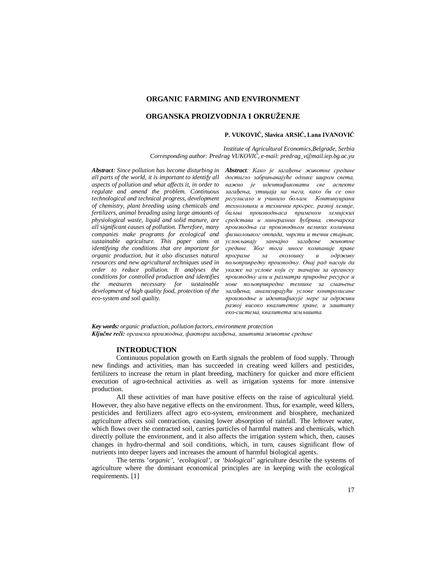## **ORGANIC FARMING AND ENVIRONMENT**

# **ORGANSKA PROIZVODNJA I OKRUŽENJE**

### **P. VUKOVIĆ, Slavica ARSIĆ, Lana IVANOVIĆ**

*Institute of Agricultural Economics,Belgrade, Serbia Corresponding author: Predrag VUKOVIĆ, e-mail: predrag\_v@mail.iep.bg.ac.yu*

*Abstract: Since pollution has become disturbing in Abstract: Како је загађење животне средине all parts of the world, it is important to identify all aspects of pollution and what affects it, in order to regulate and amend the problem. Continuous technological and technical progress, development of chemistry, plant breeding using chemicals and fertilizers, animal breading using large amounts of physiological waste, liquid and solid manure, are all significant causes of pollution. Therefore, many companies make programs for ecological and sustainable agriculture. This paper aims at identifying the conditions that are important for organic production, but it also discusses natural resources and new agricultural techniques used in order to reduce pollution. It analyses the conditions for controlled production and identifies the measures necessary for sustainable development of high quality food, protection of the eco-system and soil quality.*

*достигло забрињавајуће одлике широм света, важно је идентификовати све аспекте загађења, утицаја на њега, како би се оно регулисало и учинило бољим. Континуирани технолошки и технички прогрес, развој хемије, биљна производњаса применом хемијских средстава и минералних ђубрива, сточарска производња са производњом великих количина физиолошког отпада, чврсти и течни стајњак, условљавају занчајно загађење животне средине. Због тога многе компаније праве програме за еколошку и одрживу пољопривредну производњу. Овај рад насоји да укаже на услове који су значајни за органску производњу али и разматра природне ресурсе и нове пољопривредне технике за смањење загађења, анализирајући услове контролисане производње и идентификује мере за одрживи развој високо квалитетне хране, и заштиту еко-система, квалитета земљишта.*

*Key words: organic production, pollution factors, environment protection Ključne reči: органска производња, фактори загађења, заштита животне средине*

## **INTRODUCTION**

Continuous population growth on Earth signals the problem of food supply. Through new findings and activities, man has succeeded in creating weed killers and pesticides, fertilizers to increase the return in plant breeding, machinery for quicker and more efficient execution of agro-technical activities as well as irrigation systems for more intensive production.

All these activities of man have positive effects on the raise of agricultural yield. However, they also have negative effects on the environment. Thus, for example, weed killers, pesticides and fertilizers affect agro eco-system, environment and biosphere, mechanized agriculture affects soil contraction, causing lower absorption of rainfall. The leftover water, which flows over the contracted soil, carries particles of harmful matters and chemicals, which directly pollute the environment, and it also affects the irrigation system which, then, causes changes in hydro-thermal and soil conditions, which, in turn, causes significant flow of nutrients into deeper layers and increases the amount of harmful biological agents.

The terms '*organic', 'ecological',* or *'biological'* agriculture describe the systems of agriculture where the dominant economical principles are in keeping with the ecological requirements. [1]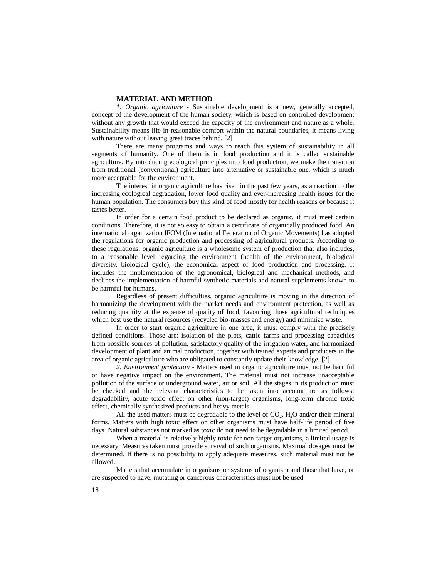#### **MATERIAL AND METHOD**

*1. Organic agriculture -* Sustainable development is a new, generally accepted, concept of the development of the human society, which is based on controlled development without any growth that would exceed the capacity of the environment and nature as a whole. Sustainability means life in reasonable comfort within the natural boundaries, it means living with nature without leaving great traces behind. [2]

There are many programs and ways to reach this system of sustainability in all segments of humanity. One of them is in food production and it is called sustainable agriculture. By introducing ecological principles into food production, we make the transition from traditional (conventional) agriculture into alternative or sustainable one, which is much more acceptable for the environment.

The interest in organic agriculture has risen in the past few years, as a reaction to the increasing ecological degradation, lower food quality and ever-increasing health issues for the human population. The consumers buy this kind of food mostly for health reasons or because it tastes better.

In order for a certain food product to be declared as organic, it must meet certain conditions. Therefore, it is not so easy to obtain a certificate of organically produced food. An international organization IFOM (International Federation of Organic Movements) has adopted the regulations for organic production and processing of agricultural products. According to these regulations, organic agriculture is a wholesome system of production that also includes, to a reasonable level regarding the environment (health of the environment, biological diversity, biological cycle), the economical aspect of food production and processing. It includes the implementation of the agronomical, biological and mechanical methods, and declines the implementation of harmful synthetic materials and natural supplements known to be harmful for humans.

Regardless of present difficulties, organic agriculture is moving in the direction of harmonizing the development with the market needs and environment protection, as well as reducing quantity at the expense of quality of food, favouring those agricultural techniques which best use the natural resources (recycled bio-masses and energy) and minimize waste.

In order to start organic agriculture in one area, it must comply with the precisely defined conditions. Those are: isolation of the plots, cattle farms and processing capacities from possible sources of pollution, satisfactory quality of the irrigation water, and harmonized development of plant and animal production, together with trained experts and producers in the area of organic agriculture who are obligated to constantly update their knowledge. [2]

*2. Environment protection -* Matters used in organic agriculture must not be harmful or have negative impact on the environment. The material must not increase unacceptable pollution of the surface or underground water, air or soil. All the stages in its production must be checked and the relevant characteristics to be taken into account are as follows: degradability, acute toxic effect on other (non-target) organisms, long-term chronic toxic effect, chemically synthesized products and heavy metals.

All the used matters must be degradable to the level of  $CO<sub>2</sub>$ , H<sub>2</sub>O and/or their mineral forms. Matters with high toxic effect on other organisms must have half-life period of five days. Natural substances not marked as toxic do not need to be degradable in a limited period.

When a material is relatively highly toxic for non-target organisms, a limited usage is necessary. Measures taken must provide survival of such organisms. Maximal dosages must be determined. If there is no possibility to apply adequate measures, such material must not be allowed.

Matters that accumulate in organisms or systems of organism and those that have, or are suspected to have, mutating or cancerous characteristics must not be used.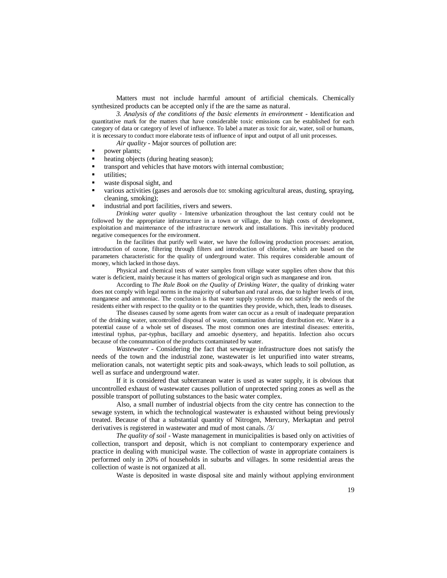Matters must not include harmful amount of artificial chemicals. Chemically synthesized products can be accepted only if the are the same as natural.

*3. Analysis of the conditions of the basic elements in environment -* Identification and quantitative mark for the matters that have considerable toxic emissions can be established for each category of data or category of level of influence. To label a mater as toxic for air, water, soil or humans, it is necessary to conduct more elaborate tests of influence of input and output of all unit processes.

*Air quality -* Major sources of pollution are:

- **power plants;**<br>**beating object**
- heating objects (during heating season);
- transport and vehicles that have motors with internal combustion;
- utilities;
- waste disposal sight, and
- various activities (gases and aerosols due to: smoking agricultural areas, dusting, spraying, cleaning, smoking);
- **ightharrow industrial and port facilities, rivers and sewers.**

*Drinking water quality* - Intensive urbanization throughout the last century could not be followed by the appropriate infrastructure in a town or village, due to high costs of development, exploitation and maintenance of the infrastructure network and installations. This inevitably produced negative consequences for the environment.

In the facilities that purify well water, we have the following production processes: aeration, introduction of ozone, filtering through filters and introduction of chlorine, which are based on the parameters characteristic for the quality of underground water. This requires considerable amount of money, which lacked in those days.

Physical and chemical tests of water samples from village water supplies often show that this water is deficient, mainly because it has matters of geological origin such as manganese and iron.

According to *The Rule Book on the Quality of Drinking Water*, the quality of drinking water does not comply with legal norms in the majority of suburban and rural areas, due to higher levels of iron, manganese and ammoniac. The conclusion is that water supply systems do not satisfy the needs of the residents either with respect to the quality or to the quantities they provide, which, then, leads to diseases.

The diseases caused by some agents from water can occur as a result of inadequate preparation of the drinking water, uncontrolled disposal of waste, contamination during distribution etc. Water is a potential cause of a whole set of diseases. The most common ones are intestinal diseases: enteritis, intestinal typhus, par-typhus, bacillary and amoebic dysentery, and hepatitis. Infection also occurs because of the consummation of the products contaminated by water.

*Wastewater -* Considering the fact that sewerage infrastructure does not satisfy the needs of the town and the industrial zone, wastewater is let unpurified into water streams, melioration canals, not watertight septic pits and soak-aways, which leads to soil pollution, as well as surface and underground water.

If it is considered that subterranean water is used as water supply, it is obvious that uncontrolled exhaust of wastewater causes pollution of unprotected spring zones as well as the possible transport of polluting substances to the basic water complex.

Also, a small number of industrial objects from the city centre has connection to the sewage system, in which the technological wastewater is exhausted without being previously treated. Because of that a substantial quantity of Nitrogen, Mercury, Merkaptan and petrol derivatives is registered in wastewater and mud of most canals. /3/

*The quality of soil* - Waste management in municipalities is based only on activities of collection, transport and deposit, which is not compliant to contemporary experience and practice in dealing with municipal waste. The collection of waste in appropriate containers is performed only in 20% of households in suburbs and villages. In some residential areas the collection of waste is not organized at all.

Waste is deposited in waste disposal site and mainly without applying environment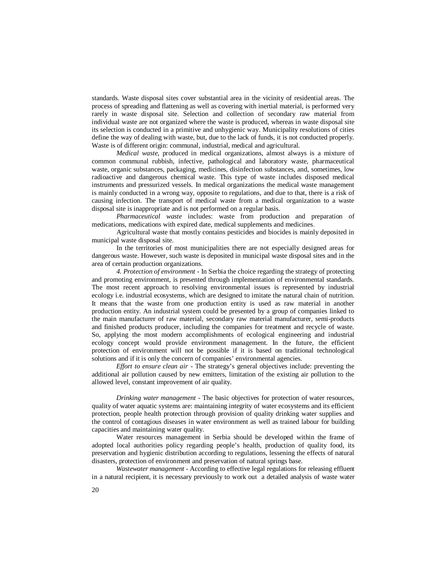standards. Waste disposal sites cover substantial area in the vicinity of residential areas. The process of spreading and flattening as well as covering with inertial material, is performed very rarely in waste disposal site. Selection and collection of secondary raw material from individual waste are not organized where the waste is produced, whereas in waste disposal site its selection is conducted in a primitive and unhygienic way. Municipality resolutions of cities define the way of dealing with waste, but, due to the lack of funds, it is not conducted properly. Waste is of different origin: communal, industrial, medical and agricultural.

*Medical waste*, produced in medical organizations, almost always is a mixture of common communal rubbish, infective, pathological and laboratory waste, pharmaceutical waste, organic substances, packaging, medicines, disinfection substances, and, sometimes, low radioactive and dangerous chemical waste. This type of waste includes disposed medical instruments and pressurized vessels. In medical organizations the medical waste management is mainly conducted in a wrong way, opposite to regulations, and due to that, there is a risk of causing infection. The transport of medical waste from a medical organization to a waste disposal site is inappropriate and is not performed on a regular basis.

*Pharmaceutical waste* includes: waste from production and preparation of medications, medications with expired date, medical supplements and medicines.

Agricultural waste that mostly contains pesticides and biocides is mainly deposited in municipal waste disposal site.

In the territories of most municipalities there are not especially designed areas for dangerous waste. However, such waste is deposited in municipal waste disposal sites and in the area of certain production organizations.

*4. Protection of environment -* In Serbia the choice regarding the strategy of protecting and promoting environment, is presented through implementation of environmental standards. The most recent approach to resolving environmental issues is represented by industrial ecology i.e. industrial ecosystems, which are designed to imitate the natural chain of nutrition. It means that the waste from one production entity is used as raw material in another production entity. An industrial system could be presented by a group of companies linked to the main manufacturer of raw material, secondary raw material manufacturer, semi-products and finished products producer, including the companies for treatment and recycle of waste. So, applying the most modern accomplishments of ecological engineering and industrial ecology concept would provide environment management. In the future, the efficient protection of environment will not be possible if it is based on traditional technological solutions and if it is only the concern of companies' environmental agencies.

*Effort to ensure clean air* - The strategy's general objectives include: preventing the additional air pollution caused by new emitters, limitation of the existing air pollution to the allowed level, constant improvement of air quality.

*Drinking water management* - The basic objectives for protection of water resources, quality of water aquatic systems are: maintaining integrity of water ecosystems and its efficient protection, people health protection through provision of quality drinking water supplies and the control of contagious diseases in water environment as well as trained labour for building capacities and maintaining water quality.

Water resources management in Serbia should be developed within the frame of adopted local authorities policy regarding people's health, production of quality food, its preservation and hygienic distribution according to regulations, lessening the effects of natural disasters, protection of environment and preservation of natural springs base.

*Wastewater management* - According to effective legal regulations for releasing effluent in a natural recipient, it is necessary previously to work out a detailed analysis of waste water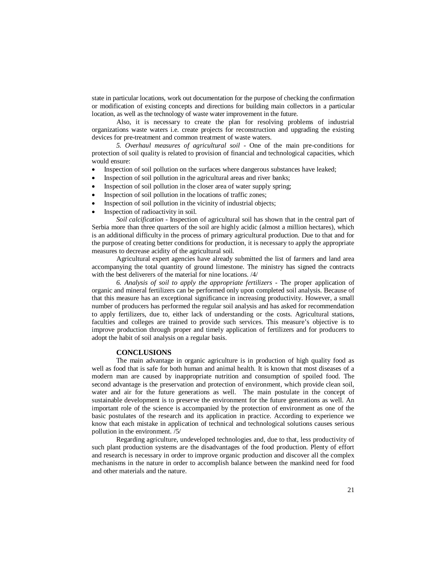state in particular locations, work out documentation for the purpose of checking the confirmation or modification of existing concepts and directions for building main collectors in a particular location, as well as the technology of waste water improvement in the future.

Also, it is necessary to create the plan for resolving problems of industrial organizations waste waters i.e. create projects for reconstruction and upgrading the existing devices for pre-treatment and common treatment of waste waters.

*5. Overhaul measures of agricultural soil* - One of the main pre-conditions for protection of soil quality is related to provision of financial and technological capacities, which would ensure:

- Inspection of soil pollution on the surfaces where dangerous substances have leaked;
- Inspection of soil pollution in the agricultural areas and river banks;
- Inspection of soil pollution in the closer area of water supply spring;
- Inspection of soil pollution in the locations of traffic zones;
- Inspection of soil pollution in the vicinity of industrial objects;
- Inspection of radioactivity in soil.

*Soil calcification* - Inspection of agricultural soil has shown that in the central part of Serbia more than three quarters of the soil are highly acidic (almost a million hectares), which is an additional difficulty in the process of primary agricultural production. Due to that and for the purpose of creating better conditions for production, it is necessary to apply the appropriate measures to decrease acidity of the agricultural soil.

Agricultural expert agencies have already submitted the list of farmers and land area accompanying the total quantity of ground limestone. The ministry has signed the contracts with the best deliverers of the material for nine locations. /4/

*6. Analysis of soil to apply the appropriate fertilizers -* The proper application of organic and mineral fertilizers can be performed only upon completed soil analysis. Because of that this measure has an exceptional significance in increasing productivity. However, a small number of producers has performed the regular soil analysis and has asked for recommendation to apply fertilizers, due to, either lack of understanding or the costs. Agricultural stations, faculties and colleges are trained to provide such services. This measure's objective is to improve production through proper and timely application of fertilizers and for producers to adopt the habit of soil analysis on a regular basis.

### **CONCLUSIONS**

The main advantage in organic agriculture is in production of high quality food as well as food that is safe for both human and animal health. It is known that most diseases of a modern man are caused by inappropriate nutrition and consumption of spoiled food. The second advantage is the preservation and protection of environment, which provide clean soil, water and air for the future generations as well. The main postulate in the concept of sustainable development is to preserve the environment for the future generations as well. An important role of the science is accompanied by the protection of environment as one of the basic postulates of the research and its application in practice. According to experience we know that each mistake in application of technical and technological solutions causes serious pollution in the environment. /5/

Regarding agriculture, undeveloped technologies and, due to that, less productivity of such plant production systems are the disadvantages of the food production. Plenty of effort and research is necessary in order to improve organic production and discover all the complex mechanisms in the nature in order to accomplish balance between the mankind need for food and other materials and the nature.